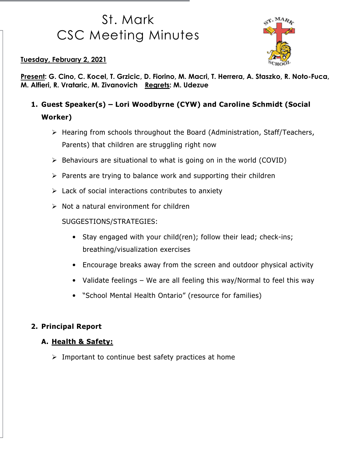# St. Mark CSC Meeting Minutes



Tuesday, February 2, 2021

Present: G. Cino, C. Kocel, T. Grzicic, D. Fiorino, M. Macri, T. Herrera, A. Staszko, R. Noto-Fuca, M. Alfieri, R. Vrataric, M. Zivanovich Regrets: M. Udezue

- 1. Guest Speaker(s) Lori Woodbyrne (CYW) and Caroline Schmidt (Social Worker)
	- Hearing from schools throughout the Board (Administration, Staff/Teachers, Parents) that children are struggling right now
	- $\triangleright$  Behaviours are situational to what is going on in the world (COVID)
	- $\triangleright$  Parents are trying to balance work and supporting their children
	- $\triangleright$  Lack of social interactions contributes to anxiety
	- $\triangleright$  Not a natural environment for children

SUGGESTIONS/STRATEGIES:

- Stay engaged with your child(ren); follow their lead; check-ins; breathing/visualization exercises
- Encourage breaks away from the screen and outdoor physical activity
- Validate feelings We are all feeling this way/Normal to feel this way
- "School Mental Health Ontario" (resource for families)

#### 2. Principal Report

#### A. Health & Safety:

 $\triangleright$  Important to continue best safety practices at home